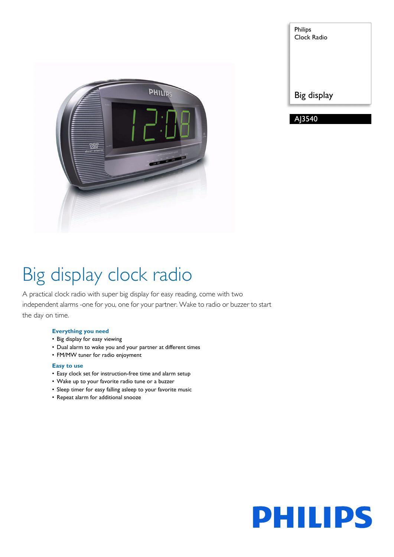

| Philips<br>Clock Radio |
|------------------------|
| Big display            |
|                        |

# Big display clock radio

A practical clock radio with super big display for easy reading, come with two independent alarms -one for you, one for your partner. Wake to radio or buzzer to start the day on time.

#### **Everything you need**

- Big display for easy viewing
- Dual alarm to wake you and your partner at different times
- FM/MW tuner for radio enjoyment

#### **Easy to use**

- Easy clock set for instruction-free time and alarm setup
- Wake up to your favorite radio tune or a buzzer
- Sleep timer for easy falling asleep to your favorite music
- Repeat alarm for additional snooze